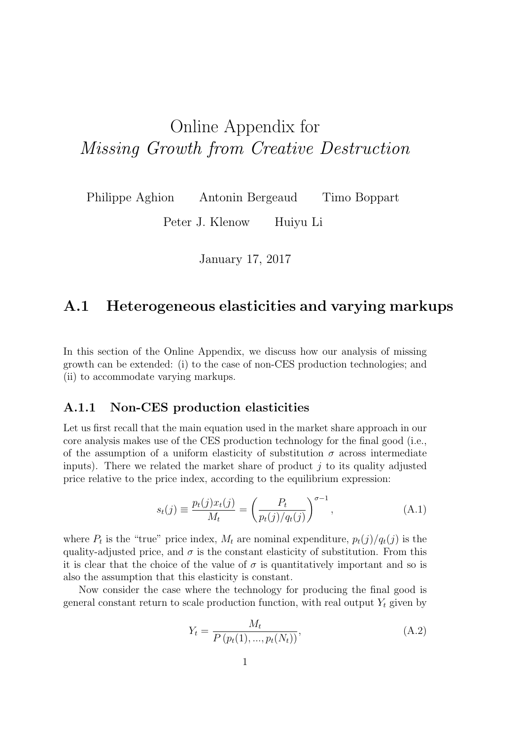# <span id="page-0-1"></span>Online Appendix for Missing Growth from Creative Destruction

Philippe Aghion Antonin Bergeaud Timo Boppart

Peter J. Klenow Huiyu Li

January 17, 2017

## A.1 Heterogeneous elasticities and varying markups

In this section of the Online Appendix, we discuss how our analysis of missing growth can be extended: (i) to the case of non-CES production technologies; and (ii) to accommodate varying markups.

## A.1.1 Non-CES production elasticities

Let us first recall that the main equation used in the market share approach in our core analysis makes use of the CES production technology for the final good (i.e., of the assumption of a uniform elasticity of substitution  $\sigma$  across intermediate inputs). There we related the market share of product  $j$  to its quality adjusted price relative to the price index, according to the equilibrium expression:

<span id="page-0-0"></span>
$$
s_t(j) \equiv \frac{p_t(j)x_t(j)}{M_t} = \left(\frac{P_t}{p_t(j)/q_t(j)}\right)^{\sigma - 1},
$$
\n(A.1)

where  $P_t$  is the "true" price index,  $M_t$  are nominal expenditure,  $p_t(j)/q_t(j)$  is the quality-adjusted price, and  $\sigma$  is the constant elasticity of substitution. From this it is clear that the choice of the value of  $\sigma$  is quantitatively important and so is also the assumption that this elasticity is constant.

Now consider the case where the technology for producing the final good is general constant return to scale production function, with real output  $Y_t$  given by

$$
Y_t = \frac{M_t}{P(p_t(1), ..., p_t(N_t))},
$$
\n(A.2)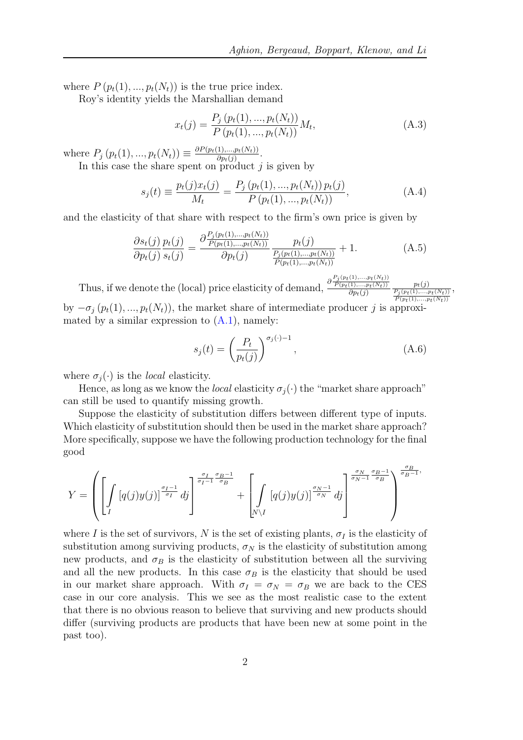where  $P(p_t(1),...,p_t(N_t))$  is the true price index.

Roy's identity yields the Marshallian demand

$$
x_t(j) = \frac{P_j(p_t(1), ..., p_t(N_t))}{P(p_t(1), ..., p_t(N_t))} M_t,
$$
\n(A.3)

where  $P_j(p_t(1),...,p_t(N_t)) \equiv \frac{\partial P(p_t(1),...,p_t(N_t))}{\partial p_t(j)}$  $\frac{1}{\partial p_t(j)}$ .

In this case the share spent on product  $j$  is given by

$$
s_j(t) \equiv \frac{p_t(j)x_t(j)}{M_t} = \frac{P_j(p_t(1), ..., p_t(N_t)) p_t(j)}{P(p_t(1), ..., p_t(N_t))},
$$
(A.4)

and the elasticity of that share with respect to the firm's own price is given by

$$
\frac{\partial s_t(j)}{\partial p_t(j)} \frac{p_t(j)}{s_t(j)} = \frac{\partial \frac{P_j(p_t(1), \dots, p_t(N_t))}{P(p_t(1), \dots, p_t(N_t))}}{\partial p_t(j)} \frac{p_t(j)}{\frac{P_j(p_t(1), \dots, p_t(N_t))}{P(p_t(1), \dots, p_t(N_t))}} + 1.
$$
\n(A.5)

Thus, if we denote the (local) price elasticity of demand,  $\frac{\partial \frac{P_j(p_t(1),...,p_t(N_t))}{P(p_t(1),...,p_t(N_t))}}{\partial p_t(j)}$  $\frac{P(p_t(1),...,p_t(N_t))}{\partial p_t(j)}$  $p_t(j)$  $P_j(p_t(1),...,p_t(N_t))$  $P(p_t(1),...,p_t(N_t))$ by  $-\sigma_j(p_t(1),...,p_t(N_t))$ , the market share of intermediate producer j is approximated by a similar expression to  $(A.1)$ , namely:

$$
s_j(t) = \left(\frac{P_t}{p_t(j)}\right)^{\sigma_j(\cdot)-1},\tag{A.6}
$$

,

where  $\sigma_i(\cdot)$  is the *local* elasticity.

Hence, as long as we know the *local* elasticity  $\sigma_i(\cdot)$  the "market share approach" can still be used to quantify missing growth.

Suppose the elasticity of substitution differs between different type of inputs. Which elasticity of substitution should then be used in the market share approach? More specifically, suppose we have the following production technology for the final good

$$
Y = \left( \left[ \int\limits_I \left[ q(j)y(j) \right]^{\frac{\sigma_I - 1}{\sigma_I}} dj \right]^{\frac{\sigma_I}{\sigma_I - 1} \frac{\sigma_B - 1}{\sigma_B}} + \left[ \int\limits_{N \backslash I} \left[ q(j)y(j) \right]^{\frac{\sigma_N - 1}{\sigma_N}} dj \right]^{\frac{\sigma_N}{\sigma_N - 1} \frac{\sigma_B - 1}{\sigma_B}} \right)^{\frac{\sigma_B}{\sigma_B - 1}},
$$

where I is the set of survivors, N is the set of existing plants,  $\sigma_I$  is the elasticity of substitution among surviving products,  $\sigma_N$  is the elasticity of substitution among new products, and  $\sigma_B$  is the elasticity of substitution between all the surviving and all the new products. In this case  $\sigma_B$  is the elasticity that should be used in our market share approach. With  $\sigma_I = \sigma_N = \sigma_B$  we are back to the CES case in our core analysis. This we see as the most realistic case to the extent that there is no obvious reason to believe that surviving and new products should differ (surviving products are products that have been new at some point in the past too).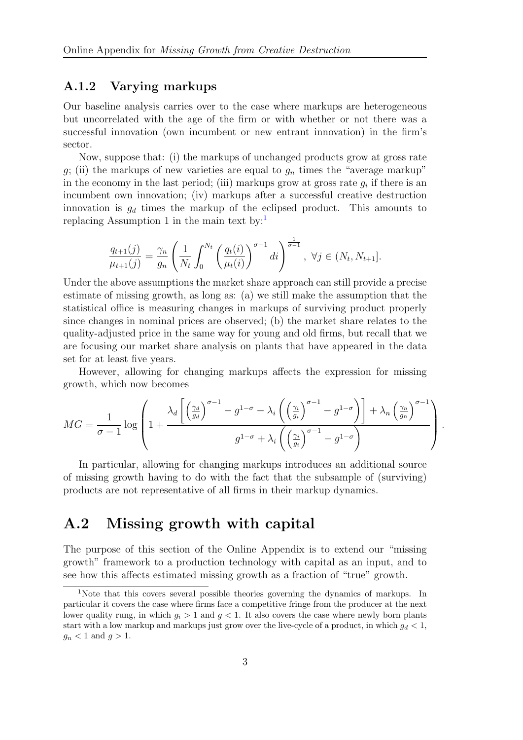### A.1.2 Varying markups

Our baseline analysis carries over to the case where markups are heterogeneous but uncorrelated with the age of the firm or with whether or not there was a successful innovation (own incumbent or new entrant innovation) in the firm's sector.

Now, suppose that: (i) the markups of unchanged products grow at gross rate g; (ii) the markups of new varieties are equal to  $g_n$  times the "average markup" in the economy in the last period; (iii) markups grow at gross rate  $g_i$  if there is an incumbent own innovation; (iv) markups after a successful creative destruction innovation is  $q_d$  times the markup of the eclipsed product. This amounts to replacing Assumption [1](#page-0-1) in the main text by: $<sup>1</sup>$ </sup>

$$
\frac{q_{t+1}(j)}{\mu_{t+1}(j)} = \frac{\gamma_n}{g_n} \left( \frac{1}{N_t} \int_0^{N_t} \left( \frac{q_t(i)}{\mu_t(i)} \right)^{\sigma-1} di \right)^{\frac{1}{\sigma-1}}, \ \ \forall j \in (N_t, N_{t+1}].
$$

Under the above assumptions the market share approach can still provide a precise estimate of missing growth, as long as: (a) we still make the assumption that the statistical office is measuring changes in markups of surviving product properly since changes in nominal prices are observed; (b) the market share relates to the quality-adjusted price in the same way for young and old firms, but recall that we are focusing our market share analysis on plants that have appeared in the data set for at least five years.

However, allowing for changing markups affects the expression for missing growth, which now becomes

$$
MG = \frac{1}{\sigma - 1} \log \left( 1 + \frac{\lambda_d \left[ \left( \frac{\gamma_d}{g_d} \right)^{\sigma - 1} - g^{1 - \sigma} - \lambda_i \left( \left( \frac{\gamma_i}{g_i} \right)^{\sigma - 1} - g^{1 - \sigma} \right) \right] + \lambda_n \left( \frac{\gamma_n}{g_n} \right)^{\sigma - 1}}{g^{1 - \sigma} + \lambda_i \left( \left( \frac{\gamma_i}{g_i} \right)^{\sigma - 1} - g^{1 - \sigma} \right)} \right).
$$

In particular, allowing for changing markups introduces an additional source of missing growth having to do with the fact that the subsample of (surviving) products are not representative of all firms in their markup dynamics.

## A.2 Missing growth with capital

The purpose of this section of the Online Appendix is to extend our "missing growth" framework to a production technology with capital as an input, and to see how this affects estimated missing growth as a fraction of "true" growth.

<sup>&</sup>lt;sup>1</sup>Note that this covers several possible theories governing the dynamics of markups. In particular it covers the case where firms face a competitive fringe from the producer at the next lower quality rung, in which  $g_i > 1$  and  $g < 1$ . It also covers the case where newly born plants start with a low markup and markups just grow over the live-cycle of a product, in which  $g_d < 1$ ,  $g_n < 1$  and  $g > 1$ .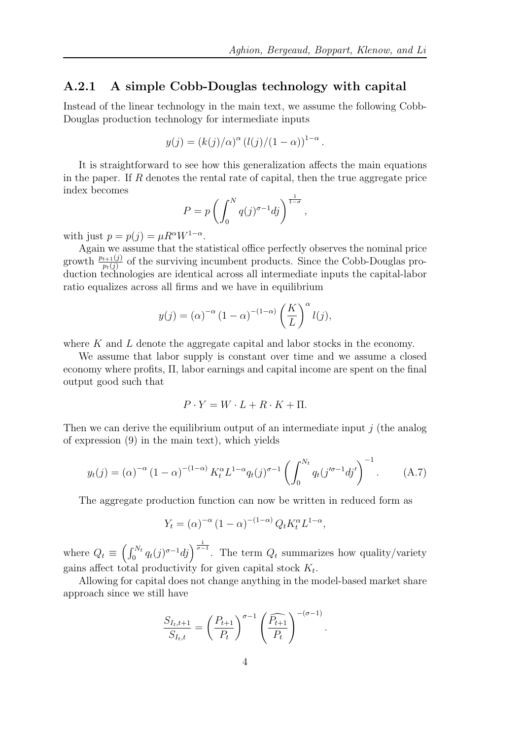### A.2.1 A simple Cobb-Douglas technology with capital

Instead of the linear technology in the main text, we assume the following Cobb-Douglas production technology for intermediate inputs

$$
y(j) = (k(j)/\alpha)^{\alpha} (l(j)/(1-\alpha))^{1-\alpha}.
$$

It is straightforward to see how this generalization affects the main equations in the paper. If  $R$  denotes the rental rate of capital, then the true aggregate price index becomes

$$
P = p \left( \int_0^N q(j)^{\sigma-1} dj \right)^{\frac{1}{1-\sigma}},
$$

with just  $p = p(j) = \mu R^{\alpha} W^{1-\alpha}$ .

Again we assume that the statistical office perfectly observes the nominal price growth  $\frac{p_{t+1}(j)}{p_t(j)}$  of the surviving incumbent products. Since the Cobb-Douglas production technologies are identical across all intermediate inputs the capital-labor ratio equalizes across all firms and we have in equilibrium

$$
y(j) = (\alpha)^{-\alpha} (1 - \alpha)^{-(1 - \alpha)} \left(\frac{K}{L}\right)^{\alpha} l(j),
$$

where  $K$  and  $L$  denote the aggregate capital and labor stocks in the economy.

We assume that labor supply is constant over time and we assume a closed economy where profits, Π, labor earnings and capital income are spent on the final output good such that

$$
P \cdot Y = W \cdot L + R \cdot K + \Pi.
$$

Then we can derive the equilibrium output of an intermediate input  $j$  (the analog of expression (9) in the main text), which yields

<span id="page-3-0"></span>
$$
y_t(j) = (\alpha)^{-\alpha} (1 - \alpha)^{-(1 - \alpha)} K_t^{\alpha} L^{1 - \alpha} q_t(j)^{\sigma - 1} \left( \int_0^{N_t} q_t(j'^{\sigma - 1} dj') \right)^{-1}.
$$
 (A.7)

The aggregate production function can now be written in reduced form as

$$
Y_t = (\alpha)^{-\alpha} (1 - \alpha)^{-(1 - \alpha)} Q_t K_t^{\alpha} L^{1 - \alpha},
$$

where  $Q_t \equiv \left(\int_0^{N_t} q_t(j)^{\sigma-1}dj\right)^{\frac{1}{\sigma-1}}$ . The term  $Q_t$  summarizes how quality/variety gains affect total productivity for given capital stock  $K_t$ .

Allowing for capital does not change anything in the model-based market share approach since we still have

$$
\frac{S_{I_t,t+1}}{S_{I_t,t}} = \left(\frac{P_{t+1}}{P_t}\right)^{\sigma-1} \left(\frac{\widehat{P_{t+1}}}{P_t}\right)^{-(\sigma-1)}.
$$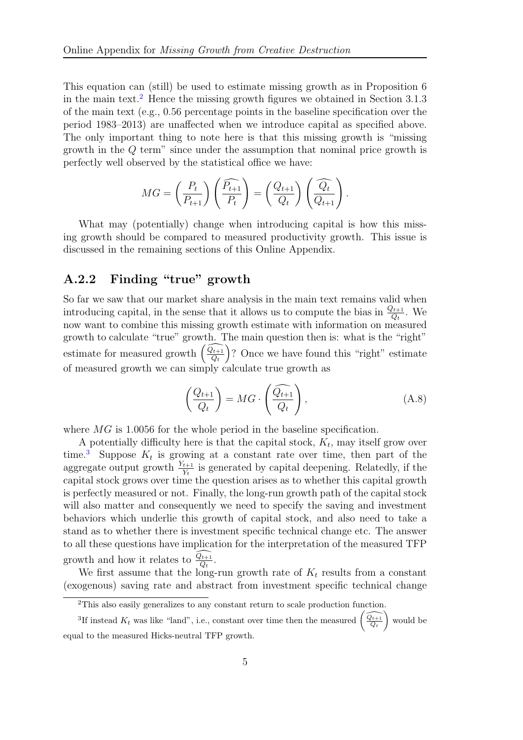This equation can (still) be used to estimate missing growth as in Proposition 6 in the main text.[2](#page-0-1) Hence the missing growth figures we obtained in Section 3.1.3 of the main text (e.g., 0.56 percentage points in the baseline specification over the period 1983–2013) are unaffected when we introduce capital as specified above. The only important thing to note here is that this missing growth is "missing growth in the Q term" since under the assumption that nominal price growth is perfectly well observed by the statistical office we have:

$$
MG = \left(\frac{P_t}{P_{t+1}}\right) \left(\frac{\widehat{P_{t+1}}}{P_t}\right) = \left(\frac{Q_{t+1}}{Q_t}\right) \left(\frac{\widehat{Q_t}}{Q_{t+1}}\right).
$$

What may (potentially) change when introducing capital is how this missing growth should be compared to measured productivity growth. This issue is discussed in the remaining sections of this Online Appendix.

## A.2.2 Finding "true" growth

So far we saw that our market share analysis in the main text remains valid when introducing capital, in the sense that it allows us to compute the bias in  $\frac{Q_{t+1}}{Q_t}$ . We now want to combine this missing growth estimate with information on measured growth to calculate "true" growth. The main question then is: what is the "right" estimate for measured growth  $\left(\frac{\widehat{Q}_{t+1}}{Q_t}\right)$  ? Once we have found this "right" estimate of measured growth we can simply calculate true growth as

<span id="page-4-0"></span>
$$
\left(\frac{Q_{t+1}}{Q_t}\right) = MG \cdot \left(\frac{\widehat{Q_{t+1}}}{Q_t}\right),\tag{A.8}
$$

where  $MG$  is 1.0056 for the whole period in the baseline specification.

A potentially difficulty here is that the capital stock,  $K_t$ , may itself grow over time.<sup>[3](#page-0-1)</sup> Suppose  $K_t$  is growing at a constant rate over time, then part of the aggregate output growth  $\frac{Y_{t+1}}{Y_t}$  is generated by capital deepening. Relatedly, if the capital stock grows over time the question arises as to whether this capital growth is perfectly measured or not. Finally, the long-run growth path of the capital stock will also matter and consequently we need to specify the saving and investment behaviors which underlie this growth of capital stock, and also need to take a stand as to whether there is investment specific technical change etc. The answer to all these questions have implication for the interpretation of the measured TFP growth and how it relates to  $\frac{Q_{t+1}}{Q_t}$ .

We first assume that the long-run growth rate of  $K_t$  results from a constant (exogenous) saving rate and abstract from investment specific technical change

<sup>2</sup>This also easily generalizes to any constant return to scale production function.

<sup>&</sup>lt;sup>3</sup>If instead  $K_t$  was like "land", i.e., constant over time then the measured  $\left(\frac{\widehat{Q_{t+1}}}{Q_t}\right)$  would be equal to the measured Hicks-neutral TFP growth.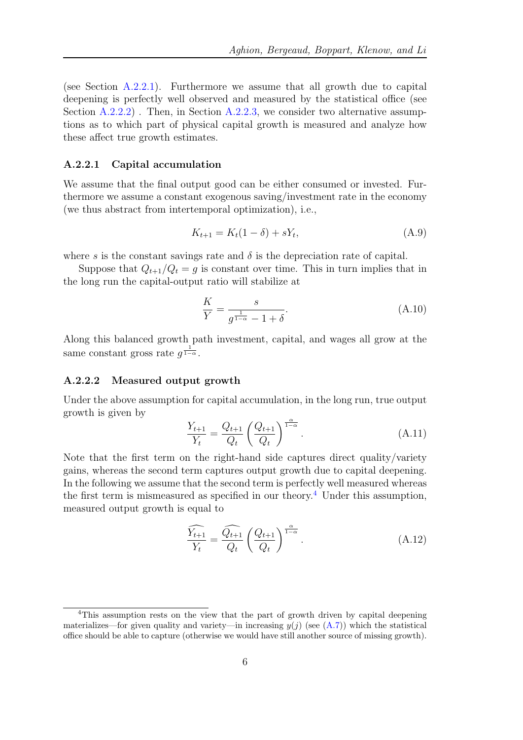(see Section [A.2.2.1\)](#page-5-0). Furthermore we assume that all growth due to capital deepening is perfectly well observed and measured by the statistical office (see Section [A.2.2.2\)](#page-5-1). Then, in Section [A.2.2.3,](#page-6-0) we consider two alternative assumptions as to which part of physical capital growth is measured and analyze how these affect true growth estimates.

#### <span id="page-5-0"></span>A.2.2.1 Capital accumulation

We assume that the final output good can be either consumed or invested. Furthermore we assume a constant exogenous saving/investment rate in the economy (we thus abstract from intertemporal optimization), i.e.,

$$
K_{t+1} = K_t(1 - \delta) + sY_t,
$$
\n(A.9)

where s is the constant savings rate and  $\delta$  is the depreciation rate of capital.

Suppose that  $Q_{t+1}/Q_t = g$  is constant over time. This in turn implies that in the long run the capital-output ratio will stabilize at

$$
\frac{K}{Y} = \frac{s}{g^{\frac{1}{1-\alpha}} - 1 + \delta}.
$$
\n(A.10)

Along this balanced growth path investment, capital, and wages all grow at the same constant gross rate  $g^{\frac{1}{1-\alpha}}$ .

#### <span id="page-5-1"></span>A.2.2.2 Measured output growth

Under the above assumption for capital accumulation, in the long run, true output growth is given by

$$
\frac{Y_{t+1}}{Y_t} = \frac{Q_{t+1}}{Q_t} \left(\frac{Q_{t+1}}{Q_t}\right)^{\frac{\alpha}{1-\alpha}}.
$$
\n(A.11)

Note that the first term on the right-hand side captures direct quality/variety gains, whereas the second term captures output growth due to capital deepening. In the following we assume that the second term is perfectly well measured whereas the first term is mismeasured as specified in our theory.<sup>[4](#page-0-1)</sup> Under this assumption, measured output growth is equal to

$$
\frac{\widehat{Y_{t+1}}}{Y_t} = \frac{\widehat{Q_{t+1}}}{Q_t} \left(\frac{Q_{t+1}}{Q_t}\right)^{\frac{\alpha}{1-\alpha}}.\tag{A.12}
$$

<sup>&</sup>lt;sup>4</sup>This assumption rests on the view that the part of growth driven by capital deepening materializes—for given quality and variety—in increasing  $y(j)$  (see [\(A.7\)](#page-3-0)) which the statistical office should be able to capture (otherwise we would have still another source of missing growth).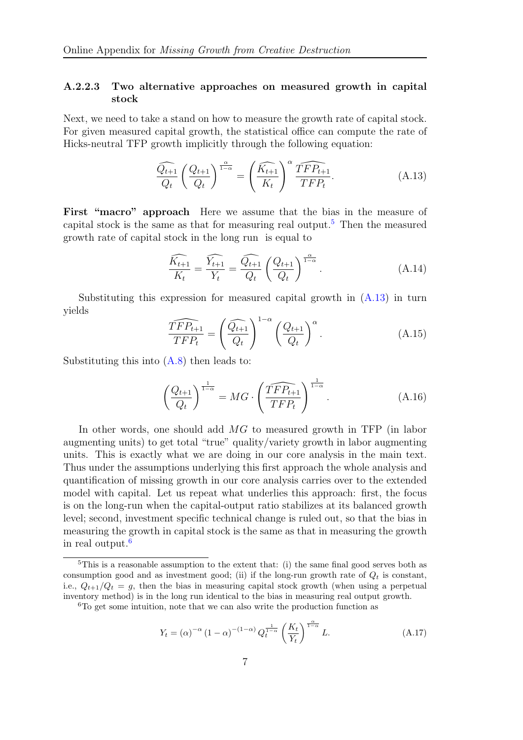### <span id="page-6-0"></span>A.2.2.3 Two alternative approaches on measured growth in capital stock

Next, we need to take a stand on how to measure the growth rate of capital stock. For given measured capital growth, the statistical office can compute the rate of Hicks-neutral TFP growth implicitly through the following equation:

<span id="page-6-1"></span>
$$
\frac{\widehat{Q_{t+1}}}{Q_t} \left(\frac{Q_{t+1}}{Q_t}\right)^{\frac{\alpha}{1-\alpha}} = \left(\frac{\widehat{K_{t+1}}}{K_t}\right)^{\alpha} \frac{\widehat{TFP_{t+1}}}{TFP_t}.
$$
\n(A.13)

First "macro" approach Here we assume that the bias in the measure of capital stock is the same as that for measuring real output.<sup>[5](#page-0-1)</sup> Then the measured growth rate of capital stock in the long run is equal to

$$
\frac{\widehat{K_{t+1}}}{K_t} = \frac{\widehat{Y_{t+1}}}{Y_t} = \frac{\widehat{Q_{t+1}}}{Q_t} \left(\frac{Q_{t+1}}{Q_t}\right)^{\frac{\alpha}{1-\alpha}}.
$$
\n(A.14)

Substituting this expression for measured capital growth in  $(A.13)$  in turn yields

$$
\frac{\widehat{TFP_{t+1}}}{TFP_t} = \left(\frac{\widehat{Q_{t+1}}}{Q_t}\right)^{1-\alpha} \left(\frac{Q_{t+1}}{Q_t}\right)^{\alpha}.
$$
\n(A.15)

Substituting this into [\(A.8\)](#page-4-0) then leads to:

$$
\left(\frac{Q_{t+1}}{Q_t}\right)^{\frac{1}{1-\alpha}} = MG \cdot \left(\frac{\widehat{TFP_{t+1}}}{TFP_t}\right)^{\frac{1}{1-\alpha}}.\tag{A.16}
$$

In other words, one should add MG to measured growth in TFP (in labor augmenting units) to get total "true" quality/variety growth in labor augmenting units. This is exactly what we are doing in our core analysis in the main text. Thus under the assumptions underlying this first approach the whole analysis and quantification of missing growth in our core analysis carries over to the extended model with capital. Let us repeat what underlies this approach: first, the focus is on the long-run when the capital-output ratio stabilizes at its balanced growth level; second, investment specific technical change is ruled out, so that the bias in measuring the growth in capital stock is the same as that in measuring the growth in real output.[6](#page-0-1)

$$
Y_t = (\alpha)^{-\alpha} \left(1 - \alpha\right)^{-(1-\alpha)} Q_t^{\frac{1}{1-\alpha}} \left(\frac{K_t}{Y_t}\right)^{\frac{\alpha}{1-\alpha}} L.
$$
 (A.17)

<sup>&</sup>lt;sup>5</sup>This is a reasonable assumption to the extent that: (i) the same final good serves both as consumption good and as investment good; (ii) if the long-run growth rate of  $Q_t$  is constant, i.e.,  $Q_{t+1}/Q_t = g$ , then the bias in measuring capital stock growth (when using a perpetual inventory method) is in the long run identical to the bias in measuring real output growth.

<sup>6</sup>To get some intuition, note that we can also write the production function as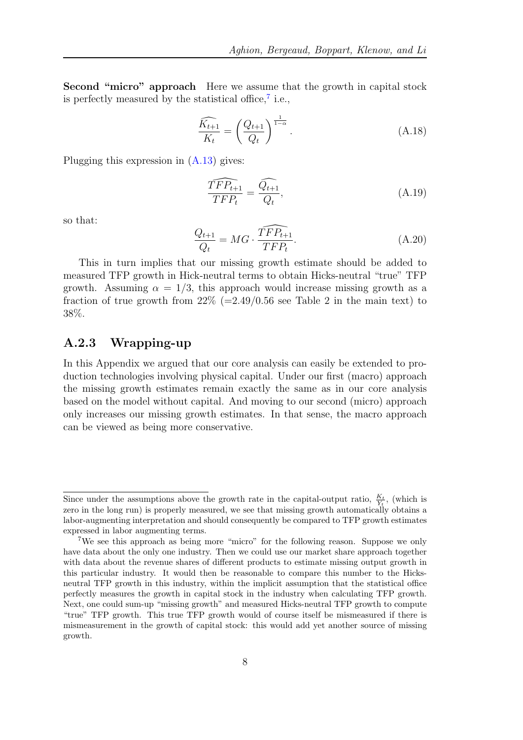Second "micro" approach Here we assume that the growth in capital stock is perfectly measured by the statistical office,<sup>[7](#page-0-1)</sup> i.e.,

$$
\frac{\widehat{K_{t+1}}}{K_t} = \left(\frac{Q_{t+1}}{Q_t}\right)^{\frac{1}{1-\alpha}}.\tag{A.18}
$$

Plugging this expression in [\(A.13\)](#page-6-1) gives:

$$
\frac{\widehat{TFP_{t+1}}}{TFP_t} = \frac{\widehat{Q_{t+1}}}{Q_t},\tag{A.19}
$$

so that:

$$
\frac{Q_{t+1}}{Q_t} = MG \cdot \frac{\widehat{TFP_{t+1}}}{TFP_t}.\tag{A.20}
$$

This in turn implies that our missing growth estimate should be added to measured TFP growth in Hick-neutral terms to obtain Hicks-neutral "true" TFP growth. Assuming  $\alpha = 1/3$ , this approach would increase missing growth as a fraction of true growth from  $22\%$  (=2.49/0.56 see Table 2 in the main text) to 38%.

## A.2.3 Wrapping-up

In this Appendix we argued that our core analysis can easily be extended to production technologies involving physical capital. Under our first (macro) approach the missing growth estimates remain exactly the same as in our core analysis based on the model without capital. And moving to our second (micro) approach only increases our missing growth estimates. In that sense, the macro approach can be viewed as being more conservative.

Since under the assumptions above the growth rate in the capital-output ratio,  $\frac{K_t}{Y_t}$ , (which is zero in the long run) is properly measured, we see that missing growth automatically obtains a labor-augmenting interpretation and should consequently be compared to TFP growth estimates expressed in labor augmenting terms.

<sup>7</sup>We see this approach as being more "micro" for the following reason. Suppose we only have data about the only one industry. Then we could use our market share approach together with data about the revenue shares of different products to estimate missing output growth in this particular industry. It would then be reasonable to compare this number to the Hicksneutral TFP growth in this industry, within the implicit assumption that the statistical office perfectly measures the growth in capital stock in the industry when calculating TFP growth. Next, one could sum-up "missing growth" and measured Hicks-neutral TFP growth to compute "true" TFP growth. This true TFP growth would of course itself be mismeasured if there is mismeasurement in the growth of capital stock: this would add yet another source of missing growth.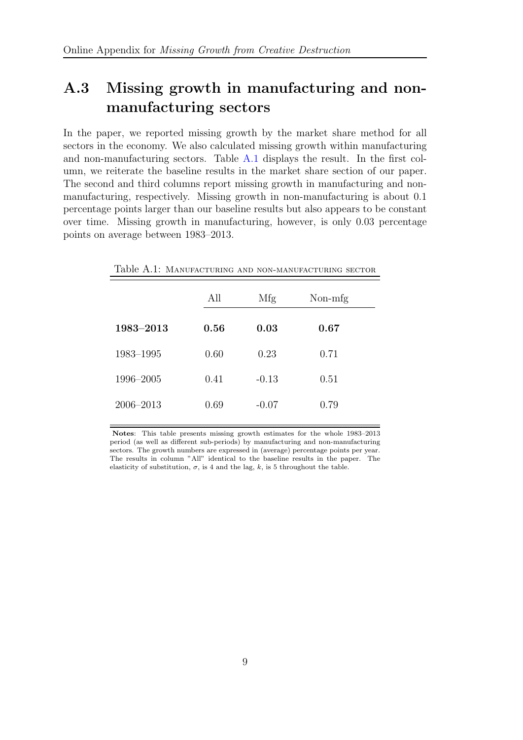## A.3 Missing growth in manufacturing and nonmanufacturing sectors

In the paper, we reported missing growth by the market share method for all sectors in the economy. We also calculated missing growth within manufacturing and non-manufacturing sectors. Table [A.1](#page-8-0) displays the result. In the first column, we reiterate the baseline results in the market share section of our paper. The second and third columns report missing growth in manufacturing and nonmanufacturing, respectively. Missing growth in non-manufacturing is about 0.1 percentage points larger than our baseline results but also appears to be constant over time. Missing growth in manufacturing, however, is only 0.03 percentage points on average between 1983–2013.

| THIRD DRUGS CRIMING THIS TON MINIMUM CHUNG DEUI OR |      |         |         |  |  |
|----------------------------------------------------|------|---------|---------|--|--|
|                                                    | All  | Mfg     | Non-mfg |  |  |
| 1983-2013                                          | 0.56 | 0.03    | 0.67    |  |  |
| 1983-1995                                          | 0.60 | 0.23    | 0.71    |  |  |
| 1996-2005                                          | 0.41 | $-0.13$ | 0.51    |  |  |
| 2006-2013                                          | 0.69 | $-0.07$ | 0.79    |  |  |

<span id="page-8-0"></span>Table A.1: Manufacturing and non-manufacturing sector

Notes: This table presents missing growth estimates for the whole 1983–2013 period (as well as different sub-periods) by manufacturing and non-manufacturing sectors. The growth numbers are expressed in (average) percentage points per year. The results in column "All" identical to the baseline results in the paper. The elasticity of substitution,  $\sigma$ , is 4 and the lag, k, is 5 throughout the table.